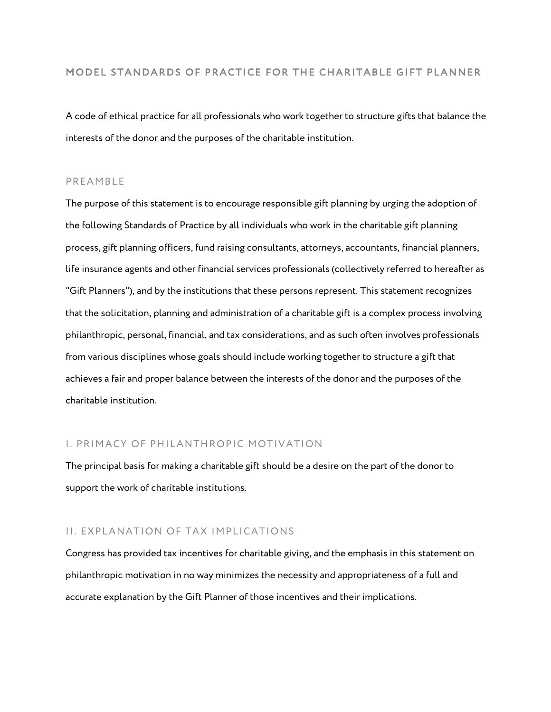A code of ethical practice for all professionals who work together to structure gifts that balance the interests of the donor and the purposes of the charitable institution.

#### PREAMBLE

The purpose of this statement is to encourage responsible gift planning by urging the adoption of the following Standards of Practice by all individuals who work in the charitable gift planning process, gift planning officers, fund raising consultants, attorneys, accountants, financial planners, life insurance agents and other financial services professionals (collectively referred to hereafter as "Gift Planners"), and by the institutions that these persons represent. This statement recognizes that the solicitation, planning and administration of a charitable gift is a complex process involving philanthropic, personal, financial, and tax considerations, and as such often involves professionals from various disciplines whose goals should include working together to structure a gift that achieves a fair and proper balance between the interests of the donor and the purposes of the charitable institution.

### I. PRIMACY OF PHILANTHROPIC MOTIVATION

The principal basis for making a charitable gift should be a desire on the part of the donor to support the work of charitable institutions.

# II. EXPLANATION OF TAX IMPLICATIONS

Congress has provided tax incentives for charitable giving, and the emphasis in this statement on philanthropic motivation in no way minimizes the necessity and appropriateness of a full and accurate explanation by the Gift Planner of those incentives and their implications.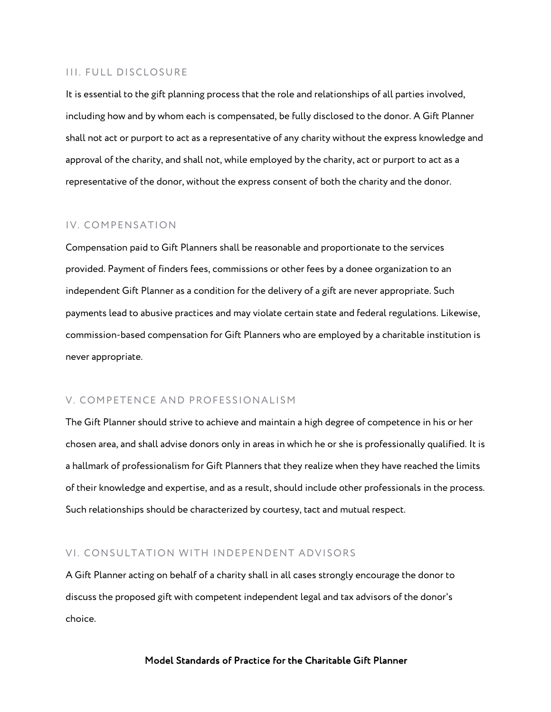#### III. FULL DISCLOSURE

It is essential to the gift planning process that the role and relationships of all parties involved, including how and by whom each is compensated, be fully disclosed to the donor. A Gift Planner shall not act or purport to act as a representative of any charity without the express knowledge and approval of the charity, and shall not, while employed by the charity, act or purport to act as a representative of the donor, without the express consent of both the charity and the donor.

### IV. COMPENSATION

Compensation paid to Gift Planners shall be reasonable and proportionate to the services provided. Payment of finders fees, commissions or other fees by a donee organization to an independent Gift Planner as a condition for the delivery of a gift are never appropriate. Such payments lead to abusive practices and may violate certain state and federal regulations. Likewise, commission-based compensation for Gift Planners who are employed by a charitable institution is never appropriate.

## V. COMPETENCE AND PROFESSIONALISM

The Gift Planner should strive to achieve and maintain a high degree of competence in his or her chosen area, and shall advise donors only in areas in which he or she is professionally qualified. It is a hallmark of professionalism for Gift Planners that they realize when they have reached the limits of their knowledge and expertise, and as a result, should include other professionals in the process. Such relationships should be characterized by courtesy, tact and mutual respect.

#### VI. CONSULTATION WITH INDEPENDENT ADVISORS

A Gift Planner acting on behalf of a charity shall in all cases strongly encourage the donor to discuss the proposed gift with competent independent legal and tax advisors of the donor's choice.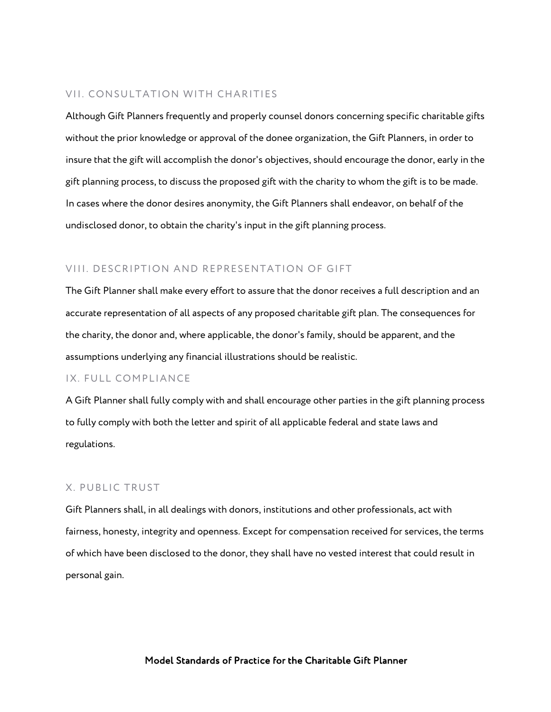### VII. CONSULTATION WITH CHARITIES

Although Gift Planners frequently and properly counsel donors concerning specific charitable gifts without the prior knowledge or approval of the donee organization, the Gift Planners, in order to insure that the gift will accomplish the donor's objectives, should encourage the donor, early in the gift planning process, to discuss the proposed gift with the charity to whom the gift is to be made. In cases where the donor desires anonymity, the Gift Planners shall endeavor, on behalf of the undisclosed donor, to obtain the charity's input in the gift planning process.

### VIII. DESCRIPTION AND REPRESENTATION OF GIFT

The Gift Planner shall make every effort to assure that the donor receives a full description and an accurate representation of all aspects of any proposed charitable gift plan. The consequences for the charity, the donor and, where applicable, the donor's family, should be apparent, and the assumptions underlying any financial illustrations should be realistic.

### IX. FULL COMPLIANCE

A Gift Planner shall fully comply with and shall encourage other parties in the gift planning process to fully comply with both the letter and spirit of all applicable federal and state laws and regulations.

### X. PUBLIC TRUST

Gift Planners shall, in all dealings with donors, institutions and other professionals, act with fairness, honesty, integrity and openness. Except for compensation received for services, the terms of which have been disclosed to the donor, they shall have no vested interest that could result in personal gain.